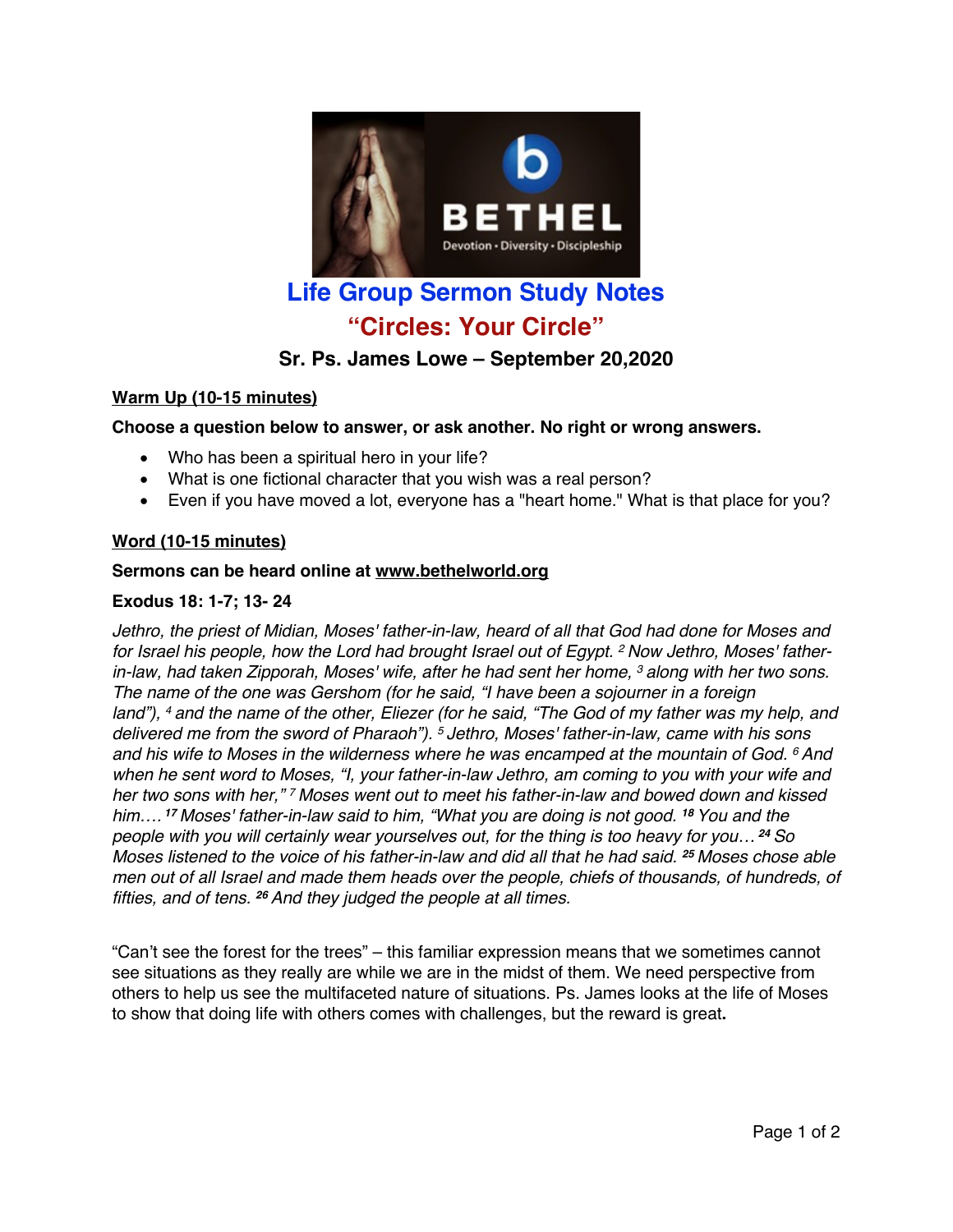

# **Life Group Sermon Study Notes "Circles: Your Circle"**

# **Sr. Ps. James Lowe – September 20,2020**

# **Warm Up (10-15 minutes)**

## **Choose a question below to answer, or ask another. No right or wrong answers.**

- Who has been a spiritual hero in your life?
- What is one fictional character that you wish was a real person?
- Even if you have moved a lot, everyone has a "heart home." What is that place for you?

#### **Word (10-15 minutes)**

#### **Sermons can be heard online at www.bethelworld.org**

#### **Exodus 18: 1-7; 13- 24**

*Jethro, the priest of Midian, Moses' father-in-law, heard of all that God had done for Moses and for Israel his people, how the Lord had brought Israel out of Egypt. <sup>2</sup> Now Jethro, Moses' fatherin-law, had taken Zipporah, Moses' wife, after he had sent her home, <sup>3</sup> along with her two sons. The name of the one was Gershom (for he said, "I have been a sojourner in a foreign* land"), 4 and the name of the other. Eliezer (for he said, "The God of my father was my help, and *delivered me from the sword of Pharaoh"). <sup>5</sup> Jethro, Moses' father-in-law, came with his sons and his wife to Moses in the wilderness where he was encamped at the mountain of God. <sup>6</sup> And when he sent word to Moses, "I, your father-in-law Jethro, am coming to you with your wife and her two sons with her," <sup>7</sup> Moses went out to meet his father-in-law and bowed down and kissed him…. <sup>17</sup> Moses' father-in-law said to him, "What you are doing is not good. <sup>18</sup> You and the people with you will certainly wear yourselves out, for the thing is too heavy for you… <sup>24</sup> So* Moses listened to the voice of his father-in-law and did all that he had said. <sup>25</sup> Moses chose able *men out of all Israel and made them heads over the people, chiefs of thousands, of hundreds, of fifties, and of tens. <sup>26</sup> And they judged the people at all times.*

"Can't see the forest for the trees" – this familiar expression means that we sometimes cannot see situations as they really are while we are in the midst of them. We need perspective from others to help us see the multifaceted nature of situations. Ps. James looks at the life of Moses to show that doing life with others comes with challenges, but the reward is great**.**